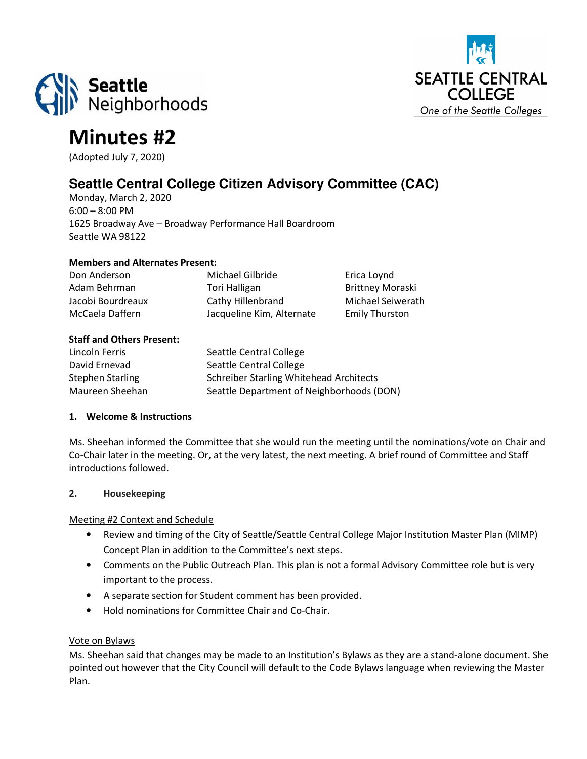



# Minutes #2

(Adopted July 7, 2020)

# **Seattle Central College Citizen Advisory Committee (CAC)**

Monday, March 2, 2020 6:00 – 8:00 PM 1625 Broadway Ave – Broadway Performance Hall Boardroom Seattle WA 98122

#### Members and Alternates Present:

| Don Anderson      | Michael Gilbride          | Erica Loynd             |
|-------------------|---------------------------|-------------------------|
| Adam Behrman      | Tori Halligan             | <b>Brittney Moraski</b> |
| Jacobi Bourdreaux | Cathy Hillenbrand         | Michael Seiwerath       |
| McCaela Daffern   | Jacqueline Kim, Alternate | <b>Emily Thurston</b>   |

#### Staff and Others Present:

| Lincoln Ferris          | Seattle Central College                        |
|-------------------------|------------------------------------------------|
| David Ernevad           | Seattle Central College                        |
| <b>Stephen Starling</b> | <b>Schreiber Starling Whitehead Architects</b> |
| Maureen Sheehan         | Seattle Department of Neighborhoods (DON)      |

## 1. Welcome & Instructions

Ms. Sheehan informed the Committee that she would run the meeting until the nominations/vote on Chair and Co-Chair later in the meeting. Or, at the very latest, the next meeting. A brief round of Committee and Staff introductions followed.

# 2. Housekeeping

#### Meeting #2 Context and Schedule

- Review and timing of the City of Seattle/Seattle Central College Major Institution Master Plan (MIMP) Concept Plan in addition to the Committee's next steps.
- Comments on the Public Outreach Plan. This plan is not a formal Advisory Committee role but is very important to the process.
- A separate section for Student comment has been provided.
- Hold nominations for Committee Chair and Co-Chair.

#### Vote on Bylaws

Ms. Sheehan said that changes may be made to an Institution's Bylaws as they are a stand-alone document. She pointed out however that the City Council will default to the Code Bylaws language when reviewing the Master Plan.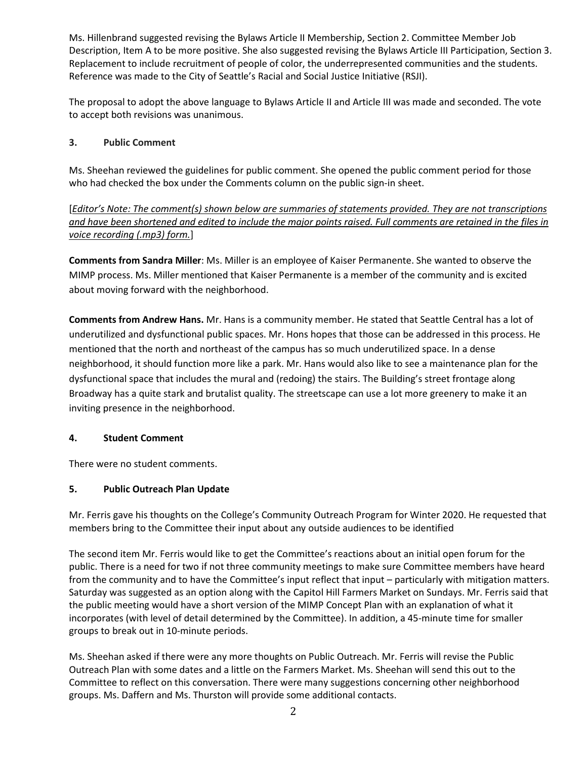Ms. Hillenbrand suggested revising the Bylaws Article II Membership, Section 2. Committee Member Job Description, Item A to be more positive. She also suggested revising the Bylaws Article III Participation, Section 3. Replacement to include recruitment of people of color, the underrepresented communities and the students. Reference was made to the City of Seattle's Racial and Social Justice Initiative (RSJI).

The proposal to adopt the above language to Bylaws Article II and Article III was made and seconded. The vote to accept both revisions was unanimous.

# 3. Public Comment

Ms. Sheehan reviewed the guidelines for public comment. She opened the public comment period for those who had checked the box under the Comments column on the public sign-in sheet.

[Editor's Note: The comment(s) shown below are summaries of statements provided. They are not transcriptions and have been shortened and edited to include the major points raised. Full comments are retained in the files in voice recording (.mp3) form.]

Comments from Sandra Miller: Ms. Miller is an employee of Kaiser Permanente. She wanted to observe the MIMP process. Ms. Miller mentioned that Kaiser Permanente is a member of the community and is excited about moving forward with the neighborhood.

Comments from Andrew Hans. Mr. Hans is a community member. He stated that Seattle Central has a lot of underutilized and dysfunctional public spaces. Mr. Hons hopes that those can be addressed in this process. He mentioned that the north and northeast of the campus has so much underutilized space. In a dense neighborhood, it should function more like a park. Mr. Hans would also like to see a maintenance plan for the dysfunctional space that includes the mural and (redoing) the stairs. The Building's street frontage along Broadway has a quite stark and brutalist quality. The streetscape can use a lot more greenery to make it an inviting presence in the neighborhood.

#### 4. Student Comment

There were no student comments.

# 5. Public Outreach Plan Update

Mr. Ferris gave his thoughts on the College's Community Outreach Program for Winter 2020. He requested that members bring to the Committee their input about any outside audiences to be identified

The second item Mr. Ferris would like to get the Committee's reactions about an initial open forum for the public. There is a need for two if not three community meetings to make sure Committee members have heard from the community and to have the Committee's input reflect that input – particularly with mitigation matters. Saturday was suggested as an option along with the Capitol Hill Farmers Market on Sundays. Mr. Ferris said that the public meeting would have a short version of the MIMP Concept Plan with an explanation of what it incorporates (with level of detail determined by the Committee). In addition, a 45-minute time for smaller groups to break out in 10-minute periods.

Ms. Sheehan asked if there were any more thoughts on Public Outreach. Mr. Ferris will revise the Public Outreach Plan with some dates and a little on the Farmers Market. Ms. Sheehan will send this out to the Committee to reflect on this conversation. There were many suggestions concerning other neighborhood groups. Ms. Daffern and Ms. Thurston will provide some additional contacts.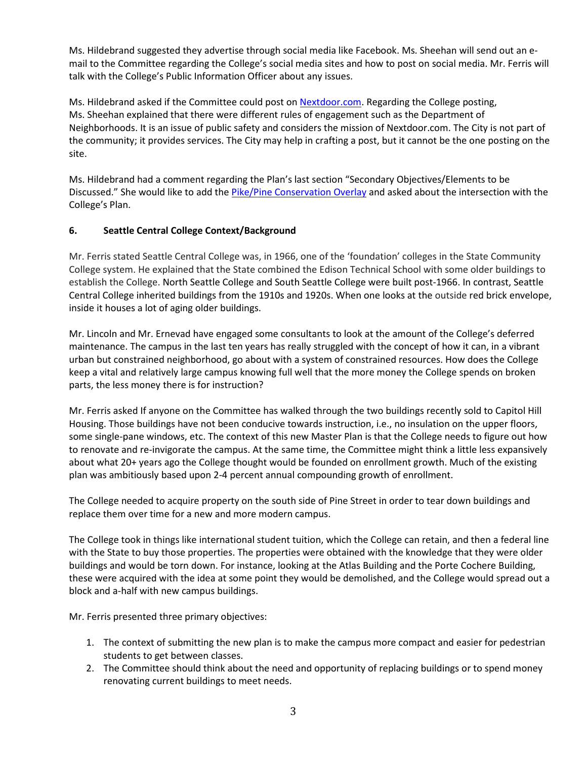Ms. Hildebrand suggested they advertise through social media like Facebook. Ms. Sheehan will send out an email to the Committee regarding the College's social media sites and how to post on social media. Mr. Ferris will talk with the College's Public Information Officer about any issues.

Ms. Hildebrand asked if the Committee could post on Nextdoor.com. Regarding the College posting, Ms. Sheehan explained that there were different rules of engagement such as the Department of Neighborhoods. It is an issue of public safety and considers the mission of Nextdoor.com. The City is not part of the community; it provides services. The City may help in crafting a post, but it cannot be the one posting on the site.

Ms. Hildebrand had a comment regarding the Plan's last section "Secondary Objectives/Elements to be Discussed." She would like to add the Pike/Pine Conservation Overlay and asked about the intersection with the College's Plan.

# 6. Seattle Central College Context/Background

Mr. Ferris stated Seattle Central College was, in 1966, one of the 'foundation' colleges in the State Community College system. He explained that the State combined the Edison Technical School with some older buildings to establish the College. North Seattle College and South Seattle College were built post-1966. In contrast, Seattle Central College inherited buildings from the 1910s and 1920s. When one looks at the outside red brick envelope, inside it houses a lot of aging older buildings.

Mr. Lincoln and Mr. Ernevad have engaged some consultants to look at the amount of the College's deferred maintenance. The campus in the last ten years has really struggled with the concept of how it can, in a vibrant urban but constrained neighborhood, go about with a system of constrained resources. How does the College keep a vital and relatively large campus knowing full well that the more money the College spends on broken parts, the less money there is for instruction?

Mr. Ferris asked If anyone on the Committee has walked through the two buildings recently sold to Capitol Hill Housing. Those buildings have not been conducive towards instruction, i.e., no insulation on the upper floors, some single-pane windows, etc. The context of this new Master Plan is that the College needs to figure out how to renovate and re-invigorate the campus. At the same time, the Committee might think a little less expansively about what 20+ years ago the College thought would be founded on enrollment growth. Much of the existing plan was ambitiously based upon 2-4 percent annual compounding growth of enrollment.

The College needed to acquire property on the south side of Pine Street in order to tear down buildings and replace them over time for a new and more modern campus.

The College took in things like international student tuition, which the College can retain, and then a federal line with the State to buy those properties. The properties were obtained with the knowledge that they were older buildings and would be torn down. For instance, looking at the Atlas Building and the Porte Cochere Building, these were acquired with the idea at some point they would be demolished, and the College would spread out a block and a-half with new campus buildings.

Mr. Ferris presented three primary objectives:

- 1. The context of submitting the new plan is to make the campus more compact and easier for pedestrian students to get between classes.
- 2. The Committee should think about the need and opportunity of replacing buildings or to spend money renovating current buildings to meet needs.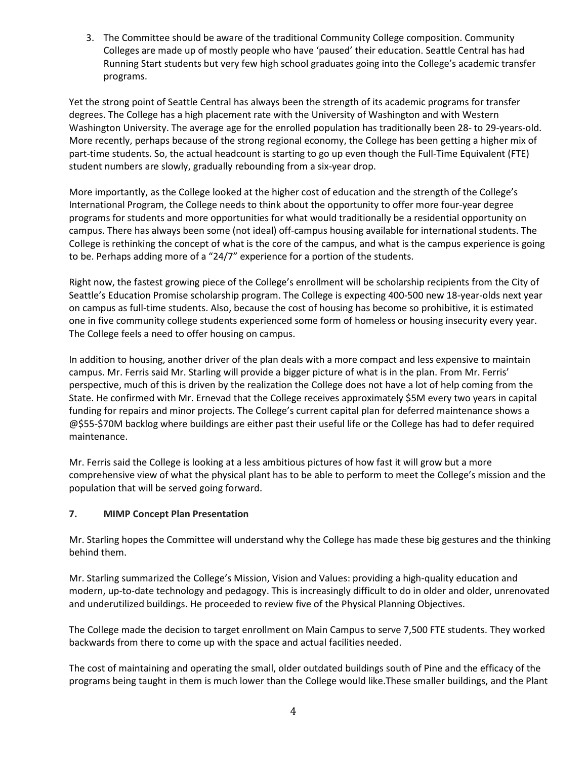3. The Committee should be aware of the traditional Community College composition. Community Colleges are made up of mostly people who have 'paused' their education. Seattle Central has had Running Start students but very few high school graduates going into the College's academic transfer programs.

Yet the strong point of Seattle Central has always been the strength of its academic programs for transfer degrees. The College has a high placement rate with the University of Washington and with Western Washington University. The average age for the enrolled population has traditionally been 28- to 29-years-old. More recently, perhaps because of the strong regional economy, the College has been getting a higher mix of part-time students. So, the actual headcount is starting to go up even though the Full-Time Equivalent (FTE) student numbers are slowly, gradually rebounding from a six-year drop.

More importantly, as the College looked at the higher cost of education and the strength of the College's International Program, the College needs to think about the opportunity to offer more four-year degree programs for students and more opportunities for what would traditionally be a residential opportunity on campus. There has always been some (not ideal) off-campus housing available for international students. The College is rethinking the concept of what is the core of the campus, and what is the campus experience is going to be. Perhaps adding more of a "24/7" experience for a portion of the students.

Right now, the fastest growing piece of the College's enrollment will be scholarship recipients from the City of Seattle's Education Promise scholarship program. The College is expecting 400-500 new 18-year-olds next year on campus as full-time students. Also, because the cost of housing has become so prohibitive, it is estimated one in five community college students experienced some form of homeless or housing insecurity every year. The College feels a need to offer housing on campus.

In addition to housing, another driver of the plan deals with a more compact and less expensive to maintain campus. Mr. Ferris said Mr. Starling will provide a bigger picture of what is in the plan. From Mr. Ferris' perspective, much of this is driven by the realization the College does not have a lot of help coming from the State. He confirmed with Mr. Ernevad that the College receives approximately \$5M every two years in capital funding for repairs and minor projects. The College's current capital plan for deferred maintenance shows a @\$55-\$70M backlog where buildings are either past their useful life or the College has had to defer required maintenance.

Mr. Ferris said the College is looking at a less ambitious pictures of how fast it will grow but a more comprehensive view of what the physical plant has to be able to perform to meet the College's mission and the population that will be served going forward.

# 7. MIMP Concept Plan Presentation

Mr. Starling hopes the Committee will understand why the College has made these big gestures and the thinking behind them.

Mr. Starling summarized the College's Mission, Vision and Values: providing a high-quality education and modern, up-to-date technology and pedagogy. This is increasingly difficult to do in older and older, unrenovated and underutilized buildings. He proceeded to review five of the Physical Planning Objectives.

The College made the decision to target enrollment on Main Campus to serve 7,500 FTE students. They worked backwards from there to come up with the space and actual facilities needed.

The cost of maintaining and operating the small, older outdated buildings south of Pine and the efficacy of the programs being taught in them is much lower than the College would like.These smaller buildings, and the Plant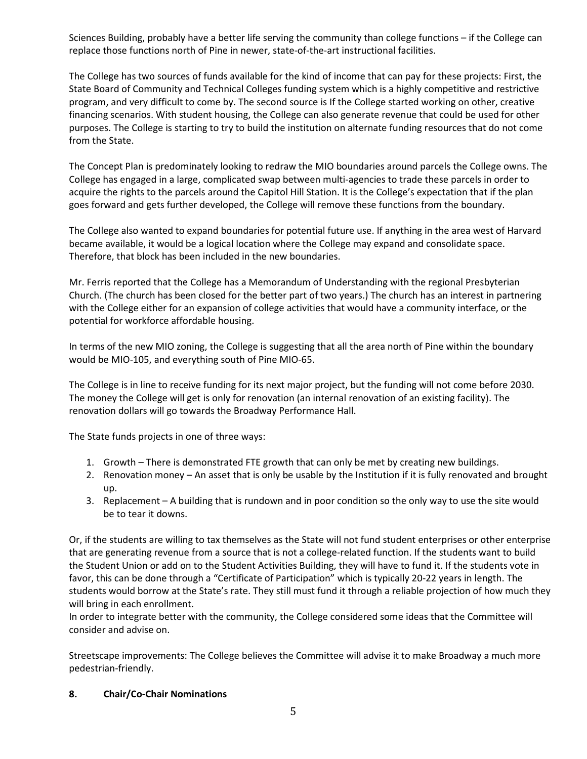Sciences Building, probably have a better life serving the community than college functions – if the College can replace those functions north of Pine in newer, state-of-the-art instructional facilities.

The College has two sources of funds available for the kind of income that can pay for these projects: First, the State Board of Community and Technical Colleges funding system which is a highly competitive and restrictive program, and very difficult to come by. The second source is If the College started working on other, creative financing scenarios. With student housing, the College can also generate revenue that could be used for other purposes. The College is starting to try to build the institution on alternate funding resources that do not come from the State.

The Concept Plan is predominately looking to redraw the MIO boundaries around parcels the College owns. The College has engaged in a large, complicated swap between multi-agencies to trade these parcels in order to acquire the rights to the parcels around the Capitol Hill Station. It is the College's expectation that if the plan goes forward and gets further developed, the College will remove these functions from the boundary.

The College also wanted to expand boundaries for potential future use. If anything in the area west of Harvard became available, it would be a logical location where the College may expand and consolidate space. Therefore, that block has been included in the new boundaries.

Mr. Ferris reported that the College has a Memorandum of Understanding with the regional Presbyterian Church. (The church has been closed for the better part of two years.) The church has an interest in partnering with the College either for an expansion of college activities that would have a community interface, or the potential for workforce affordable housing.

In terms of the new MIO zoning, the College is suggesting that all the area north of Pine within the boundary would be MIO-105, and everything south of Pine MIO-65.

The College is in line to receive funding for its next major project, but the funding will not come before 2030. The money the College will get is only for renovation (an internal renovation of an existing facility). The renovation dollars will go towards the Broadway Performance Hall.

The State funds projects in one of three ways:

- 1. Growth There is demonstrated FTE growth that can only be met by creating new buildings.
- 2. Renovation money An asset that is only be usable by the Institution if it is fully renovated and brought up.
- 3. Replacement A building that is rundown and in poor condition so the only way to use the site would be to tear it downs.

Or, if the students are willing to tax themselves as the State will not fund student enterprises or other enterprise that are generating revenue from a source that is not a college-related function. If the students want to build the Student Union or add on to the Student Activities Building, they will have to fund it. If the students vote in favor, this can be done through a "Certificate of Participation" which is typically 20-22 years in length. The students would borrow at the State's rate. They still must fund it through a reliable projection of how much they will bring in each enrollment.

In order to integrate better with the community, the College considered some ideas that the Committee will consider and advise on.

Streetscape improvements: The College believes the Committee will advise it to make Broadway a much more pedestrian-friendly.

#### 8. Chair/Co-Chair Nominations